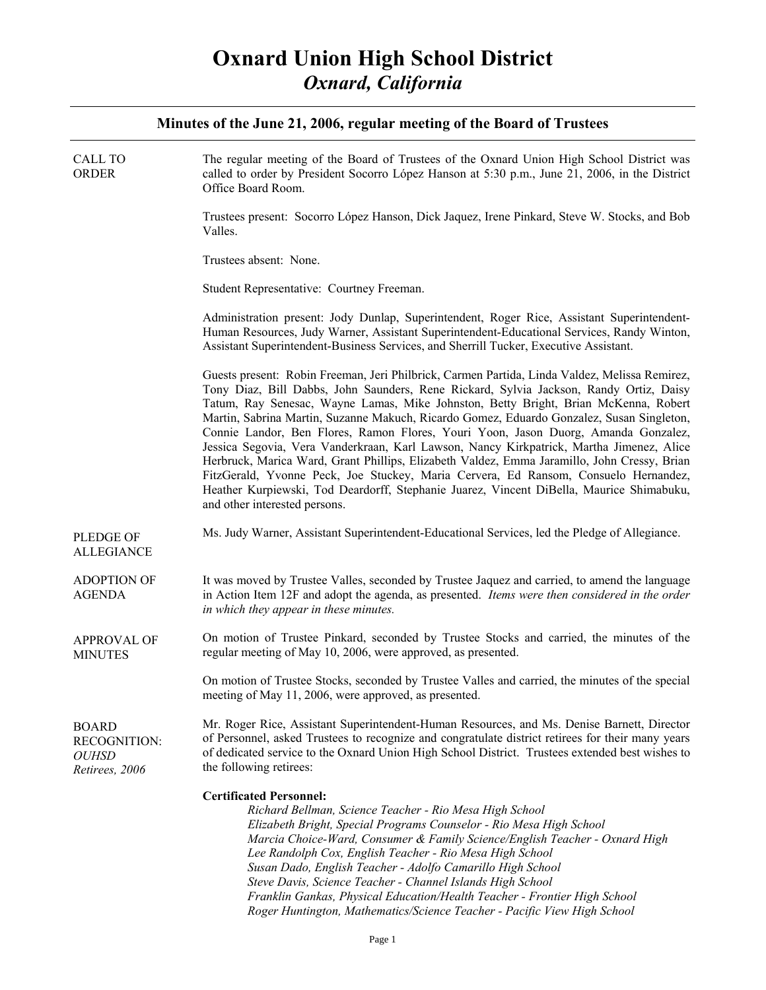#### CALL TO ORDER The regular meeting of the Board of Trustees of the Oxnard Union High School District was called to order by President Socorro López Hanson at 5:30 p.m., June 21, 2006, in the District Office Board Room. Trustees present: Socorro López Hanson, Dick Jaquez, Irene Pinkard, Steve W. Stocks, and Bob Valles. Trustees absent: None. Student Representative: Courtney Freeman. Administration present: Jody Dunlap, Superintendent, Roger Rice, Assistant Superintendent-Human Resources, Judy Warner, Assistant Superintendent-Educational Services, Randy Winton, Assistant Superintendent-Business Services, and Sherrill Tucker, Executive Assistant. Guests present: Robin Freeman, Jeri Philbrick, Carmen Partida, Linda Valdez, Melissa Remirez, Tony Diaz, Bill Dabbs, John Saunders, Rene Rickard, Sylvia Jackson, Randy Ortiz, Daisy Tatum, Ray Senesac, Wayne Lamas, Mike Johnston, Betty Bright, Brian McKenna, Robert Martin, Sabrina Martin, Suzanne Makuch, Ricardo Gomez, Eduardo Gonzalez, Susan Singleton, Connie Landor, Ben Flores, Ramon Flores, Youri Yoon, Jason Duorg, Amanda Gonzalez, Jessica Segovia, Vera Vanderkraan, Karl Lawson, Nancy Kirkpatrick, Martha Jimenez, Alice Herbruck, Marica Ward, Grant Phillips, Elizabeth Valdez, Emma Jaramillo, John Cressy, Brian FitzGerald, Yvonne Peck, Joe Stuckey, Maria Cervera, Ed Ransom, Consuelo Hernandez, Heather Kurpiewski, Tod Deardorff, Stephanie Juarez, Vincent DiBella, Maurice Shimabuku, and other interested persons. PLEDGE OF ALLEGIANCE Ms. Judy Warner, Assistant Superintendent-Educational Services, led the Pledge of Allegiance. ADOPTION OF AGENDA APPROVAL OF MINUTES BOARD RECOGNITION: *OUHSD Retirees, 2006*  It was moved by Trustee Valles, seconded by Trustee Jaquez and carried, to amend the language in Action Item 12F and adopt the agenda, as presented. *Items were then considered in the order in which they appear in these minutes.* On motion of Trustee Pinkard, seconded by Trustee Stocks and carried, the minutes of the regular meeting of May 10, 2006, were approved, as presented. On motion of Trustee Stocks, seconded by Trustee Valles and carried, the minutes of the special meeting of May 11, 2006, were approved, as presented. Mr. Roger Rice, Assistant Superintendent-Human Resources, and Ms. Denise Barnett, Director of Personnel, asked Trustees to recognize and congratulate district retirees for their many years of dedicated service to the Oxnard Union High School District. Trustees extended best wishes to the following retirees: **Certificated Personnel:**   *Richard Bellman, Science Teacher - Rio Mesa High School Elizabeth Bright, Special Programs Counselor - Rio Mesa High School Marcia Choice-Ward, Consumer & Family Science/English Teacher - Oxnard High Lee Randolph Cox, English Teacher - Rio Mesa High School*

 *Susan Dado, English Teacher - Adolfo Camarillo High School Steve Davis, Science Teacher - Channel Islands High School* 

 *Franklin Gankas, Physical Education/Health Teacher - Frontier High School Roger Huntington, Mathematics/Science Teacher - Pacific View High School*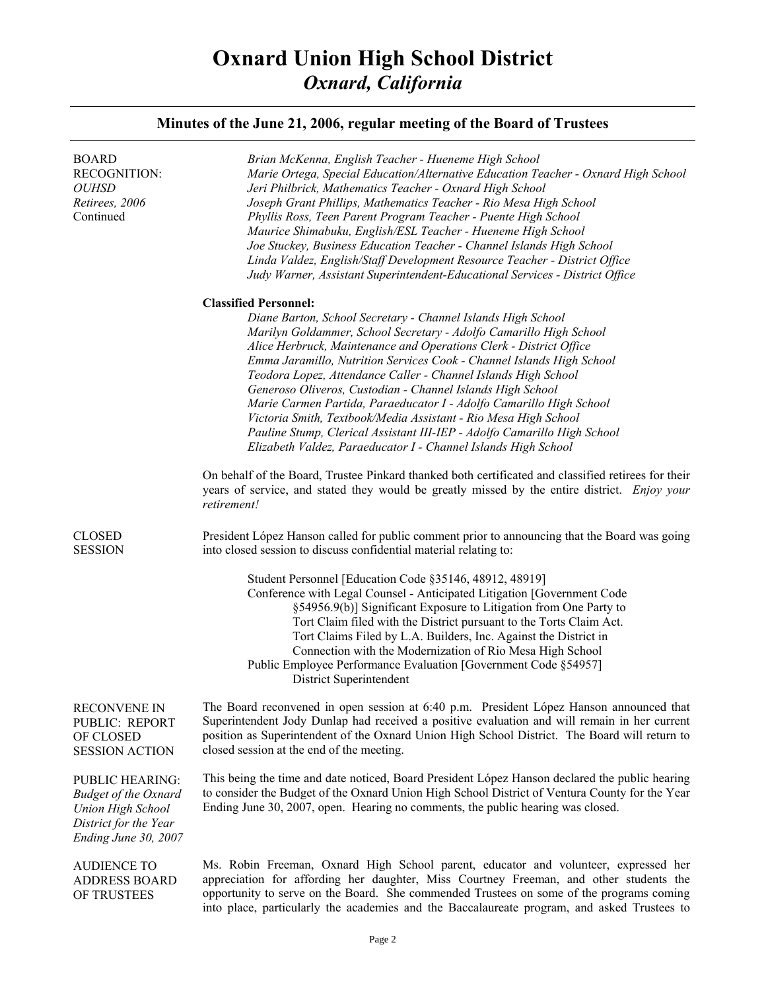#### **Minutes of the June 21, 2006, regular meeting of the Board of Trustees**  BOARD RECOGNITION: *OUHSD Retirees, 2006*  Continued  *Brian McKenna, English Teacher - Hueneme High School Marie Ortega, Special Education/Alternative Education Teacher - Oxnard High School Jeri Philbrick, Mathematics Teacher - Oxnard High School Joseph Grant Phillips, Mathematics Teacher - Rio Mesa High School Phyllis Ross, Teen Parent Program Teacher - Puente High School Maurice Shimabuku, English/ESL Teacher - Hueneme High School Joe Stuckey, Business Education Teacher - Channel Islands High School Linda Valdez, English/Staff Development Resource Teacher - District Office Judy Warner, Assistant Superintendent-Educational Services - District Office*  **Classified Personnel:**  *Diane Barton, School Secretary - Channel Islands High School Marilyn Goldammer, School Secretary - Adolfo Camarillo High School Alice Herbruck, Maintenance and Operations Clerk - District Office Emma Jaramillo, Nutrition Services Cook - Channel Islands High School Teodora Lopez, Attendance Caller - Channel Islands High School Generoso Oliveros, Custodian - Channel Islands High School Marie Carmen Partida, Paraeducator I - Adolfo Camarillo High School Victoria Smith, Textbook/Media Assistant - Rio Mesa High School Pauline Stump, Clerical Assistant III-IEP - Adolfo Camarillo High School Elizabeth Valdez, Paraeducator I - Channel Islands High School* On behalf of the Board, Trustee Pinkard thanked both certificated and classified retirees for their years of service, and stated they would be greatly missed by the entire district. *Enjoy your retirement!* CLOSED **SESSION** RECONVENE IN PUBLIC: REPORT OF CLOSED SESSION ACTION PUBLIC HEARING: *Budget of the Oxnard*  President López Hanson called for public comment prior to announcing that the Board was going into closed session to discuss confidential material relating to: Student Personnel [Education Code §35146, 48912, 48919] Conference with Legal Counsel - Anticipated Litigation [Government Code §54956.9(b)] Significant Exposure to Litigation from One Party to Tort Claim filed with the District pursuant to the Torts Claim Act. Tort Claims Filed by L.A. Builders, Inc. Against the District in Connection with the Modernization of Rio Mesa High School Public Employee Performance Evaluation [Government Code §54957] District Superintendent The Board reconvened in open session at 6:40 p.m. President López Hanson announced that Superintendent Jody Dunlap had received a positive evaluation and will remain in her current position as Superintendent of the Oxnard Union High School District. The Board will return to closed session at the end of the meeting. This being the time and date noticed, Board President López Hanson declared the public hearing to consider the Budget of the Oxnard Union High School District of Ventura County for the Year

Ms. Robin Freeman, Oxnard High School parent, educator and volunteer, expressed her appreciation for affording her daughter, Miss Courtney Freeman, and other students the opportunity to serve on the Board. She commended Trustees on some of the programs coming into place, particularly the academies and the Baccalaureate program, and asked Trustees to

Ending June 30, 2007, open. Hearing no comments, the public hearing was closed.

*Union High School District for the Year Ending June 30, 2007* 

AUDIENCE TO ADDRESS BOARD OF TRUSTEES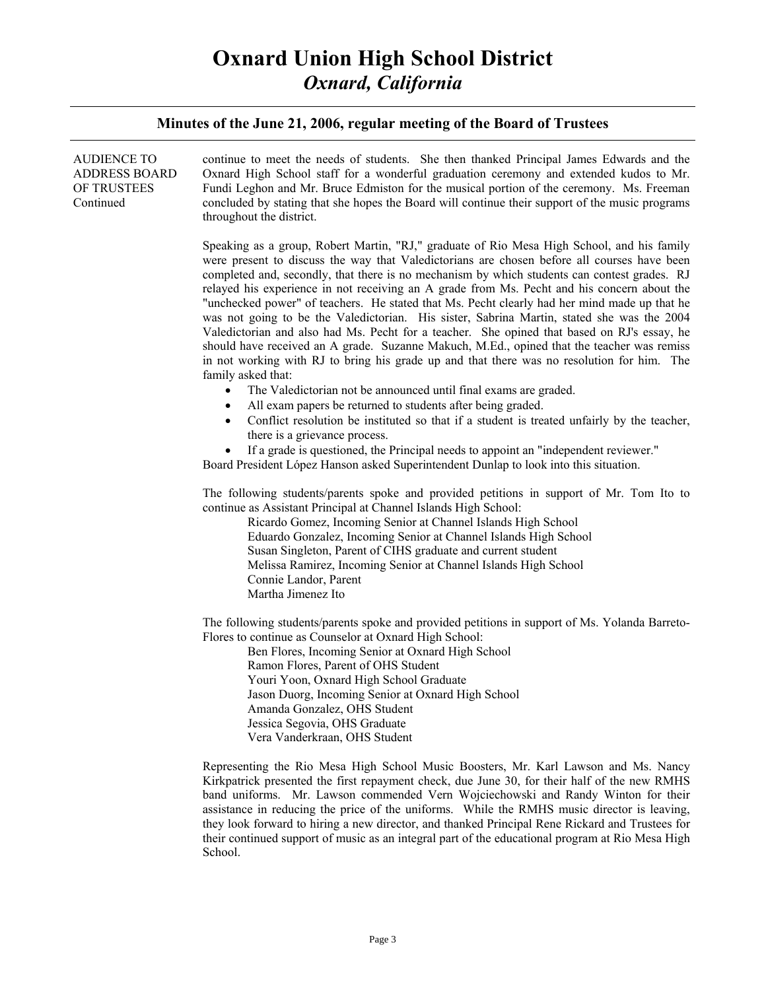| <b>AUDIENCE TO</b><br><b>ADDRESS BOARD</b><br>OF TRUSTEES<br>Continued | continue to meet the needs of students. She then thanked Principal James Edwards and the<br>Oxnard High School staff for a wonderful graduation ceremony and extended kudos to Mr.<br>Fundi Leghon and Mr. Bruce Edmiston for the musical portion of the ceremony. Ms. Freeman<br>concluded by stating that she hopes the Board will continue their support of the music programs<br>throughout the district.                                                                                                                                                                                                                                                                                                                                                                                                                                                                                           |
|------------------------------------------------------------------------|---------------------------------------------------------------------------------------------------------------------------------------------------------------------------------------------------------------------------------------------------------------------------------------------------------------------------------------------------------------------------------------------------------------------------------------------------------------------------------------------------------------------------------------------------------------------------------------------------------------------------------------------------------------------------------------------------------------------------------------------------------------------------------------------------------------------------------------------------------------------------------------------------------|
|                                                                        | Speaking as a group, Robert Martin, "RJ," graduate of Rio Mesa High School, and his family<br>were present to discuss the way that Valedictorians are chosen before all courses have been<br>completed and, secondly, that there is no mechanism by which students can contest grades. RJ<br>relayed his experience in not receiving an A grade from Ms. Pecht and his concern about the<br>"unchecked power" of teachers. He stated that Ms. Pecht clearly had her mind made up that he<br>was not going to be the Valedictorian. His sister, Sabrina Martin, stated she was the 2004<br>Valedictorian and also had Ms. Pecht for a teacher. She opined that based on RJ's essay, he<br>should have received an A grade. Suzanne Makuch, M.Ed., opined that the teacher was remiss<br>in not working with RJ to bring his grade up and that there was no resolution for him. The<br>family asked that: |
|                                                                        | The Valedictorian not be announced until final exams are graded.<br>$\bullet$                                                                                                                                                                                                                                                                                                                                                                                                                                                                                                                                                                                                                                                                                                                                                                                                                           |
|                                                                        | All exam papers be returned to students after being graded.                                                                                                                                                                                                                                                                                                                                                                                                                                                                                                                                                                                                                                                                                                                                                                                                                                             |
|                                                                        | Conflict resolution be instituted so that if a student is treated unfairly by the teacher,<br>there is a grievance process.                                                                                                                                                                                                                                                                                                                                                                                                                                                                                                                                                                                                                                                                                                                                                                             |
|                                                                        | If a grade is questioned, the Principal needs to appoint an "independent reviewer."<br>Board President López Hanson asked Superintendent Dunlap to look into this situation.                                                                                                                                                                                                                                                                                                                                                                                                                                                                                                                                                                                                                                                                                                                            |
|                                                                        | The following students/parents spoke and provided petitions in support of Mr. Tom Ito to<br>continue as Assistant Principal at Channel Islands High School:<br>Ricardo Gomez, Incoming Senior at Channel Islands High School<br>Eduardo Gonzalez, Incoming Senior at Channel Islands High School<br>Susan Singleton, Parent of CIHS graduate and current student<br>Melissa Ramirez, Incoming Senior at Channel Islands High School<br>Connie Landor, Parent<br>Martha Jimenez Ito                                                                                                                                                                                                                                                                                                                                                                                                                      |
|                                                                        | The following students/parents spoke and provided petitions in support of Ms. Yolanda Barreto-<br>Flores to continue as Counselor at Oxnard High School:<br>Ben Flores, Incoming Senior at Oxnard High School<br>Ramon Flores, Parent of OHS Student<br>Youri Yoon, Oxnard High School Graduate<br>Jason Duorg, Incoming Senior at Oxnard High School<br>Amanda Gonzalez, OHS Student<br>Jessica Segovia, OHS Graduate<br>Vera Vanderkraan, OHS Student                                                                                                                                                                                                                                                                                                                                                                                                                                                 |
|                                                                        | Representing the Rio Mesa High School Music Boosters, Mr. Karl Lawson and Ms. Nancy<br>Kirkpatrick presented the first repayment check, due June 30, for their half of the new RMHS<br>band uniforms. Mr. Lawson commended Vern Wojciechowski and Randy Winton for their<br>assistance in reducing the price of the uniforms. While the RMHS music director is leaving,<br>they look forward to hiring a new director, and thanked Principal Rene Rickard and Trustees for<br>their continued support of music as an integral part of the educational program at Rio Mesa High<br>School.                                                                                                                                                                                                                                                                                                               |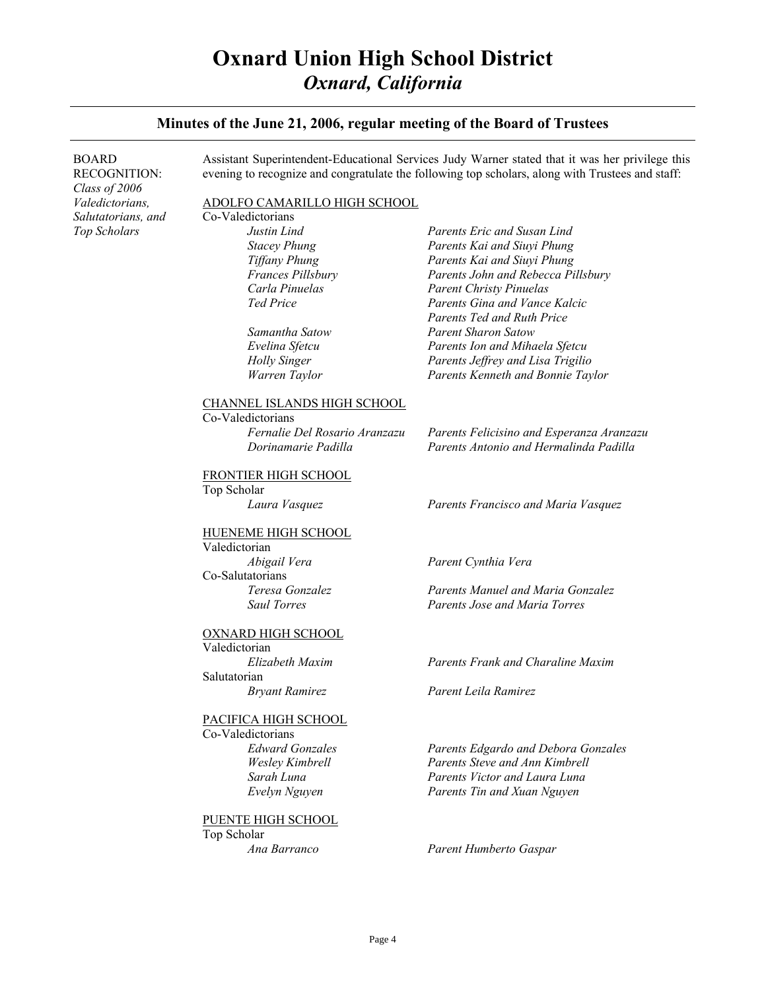| <b>BOARD</b><br><b>RECOGNITION:</b><br>Class of 2006<br><i>Valedictorians.</i><br>Salutatorians, and<br>Top Scholars | Assistant Superintendent-Educational Services Judy Warner stated that it was her privilege this<br>evening to recognize and congratulate the following top scholars, along with Trustees and staff: |                                                                                                                                                                                                                                                                                                         |  |
|----------------------------------------------------------------------------------------------------------------------|-----------------------------------------------------------------------------------------------------------------------------------------------------------------------------------------------------|---------------------------------------------------------------------------------------------------------------------------------------------------------------------------------------------------------------------------------------------------------------------------------------------------------|--|
|                                                                                                                      | ADOLFO CAMARILLO HIGH SCHOOL<br>Co-Valedictorians<br>Justin Lind<br><b>Stacey Phung</b><br>Tiffany Phung<br>Frances Pillsbury<br>Carla Pinuelas<br>Ted Price<br>Samantha Satow<br>Evelina Sfetcu    | Parents Eric and Susan Lind<br>Parents Kai and Siuyi Phung<br>Parents Kai and Siuyi Phung<br>Parents John and Rebecca Pillsbury<br><b>Parent Christy Pinuelas</b><br>Parents Gina and Vance Kalcic<br><b>Parents Ted and Ruth Price</b><br><b>Parent Sharon Satow</b><br>Parents Ion and Mihaela Sfetcu |  |
|                                                                                                                      | <b>Holly Singer</b><br>Warren Taylor                                                                                                                                                                | Parents Jeffrey and Lisa Trigilio<br>Parents Kenneth and Bonnie Taylor                                                                                                                                                                                                                                  |  |
|                                                                                                                      | <b>CHANNEL ISLANDS HIGH SCHOOL</b><br>Co-Valedictorians                                                                                                                                             |                                                                                                                                                                                                                                                                                                         |  |
|                                                                                                                      | Fernalie Del Rosario Aranzazu                                                                                                                                                                       | Parents Felicisino and Esperanza Aranzazu                                                                                                                                                                                                                                                               |  |
|                                                                                                                      | Dorinamarie Padilla                                                                                                                                                                                 | Parents Antonio and Hermalinda Padilla                                                                                                                                                                                                                                                                  |  |
|                                                                                                                      | <b>FRONTIER HIGH SCHOOL</b><br>Top Scholar                                                                                                                                                          |                                                                                                                                                                                                                                                                                                         |  |
|                                                                                                                      | Laura Vasquez                                                                                                                                                                                       | Parents Francisco and Maria Vasquez                                                                                                                                                                                                                                                                     |  |
|                                                                                                                      | <b>HUENEME HIGH SCHOOL</b><br>Valedictorian                                                                                                                                                         |                                                                                                                                                                                                                                                                                                         |  |
|                                                                                                                      | Abigail Vera<br>Co-Salutatorians                                                                                                                                                                    | Parent Cynthia Vera                                                                                                                                                                                                                                                                                     |  |
|                                                                                                                      | Teresa Gonzalez                                                                                                                                                                                     | Parents Manuel and Maria Gonzalez                                                                                                                                                                                                                                                                       |  |
|                                                                                                                      | <b>Saul Torres</b>                                                                                                                                                                                  | <b>Parents Jose and Maria Torres</b>                                                                                                                                                                                                                                                                    |  |
|                                                                                                                      | <b>OXNARD HIGH SCHOOL</b><br>Valedictorian                                                                                                                                                          |                                                                                                                                                                                                                                                                                                         |  |
|                                                                                                                      | Elizabeth Maxim                                                                                                                                                                                     | <b>Parents Frank and Charaline Maxim</b>                                                                                                                                                                                                                                                                |  |
|                                                                                                                      | Salutatorian<br><b>Bryant Ramirez</b>                                                                                                                                                               | Parent Leila Ramirez                                                                                                                                                                                                                                                                                    |  |
|                                                                                                                      |                                                                                                                                                                                                     |                                                                                                                                                                                                                                                                                                         |  |
|                                                                                                                      | PACIFICA HIGH SCHOOL<br>Co-Valedictorians                                                                                                                                                           |                                                                                                                                                                                                                                                                                                         |  |
|                                                                                                                      | <b>Edward Gonzales</b><br>Wesley Kimbrell                                                                                                                                                           | Parents Edgardo and Debora Gonzales<br>Parents Steve and Ann Kimbrell                                                                                                                                                                                                                                   |  |
|                                                                                                                      | Sarah Luna                                                                                                                                                                                          | Parents Victor and Laura Luna                                                                                                                                                                                                                                                                           |  |
|                                                                                                                      | Evelyn Nguyen                                                                                                                                                                                       | Parents Tin and Xuan Nguyen                                                                                                                                                                                                                                                                             |  |
|                                                                                                                      | PUENTE HIGH SCHOOL                                                                                                                                                                                  |                                                                                                                                                                                                                                                                                                         |  |
|                                                                                                                      | Top Scholar<br>Ana Barranco                                                                                                                                                                         | Parent Humberto Gaspar                                                                                                                                                                                                                                                                                  |  |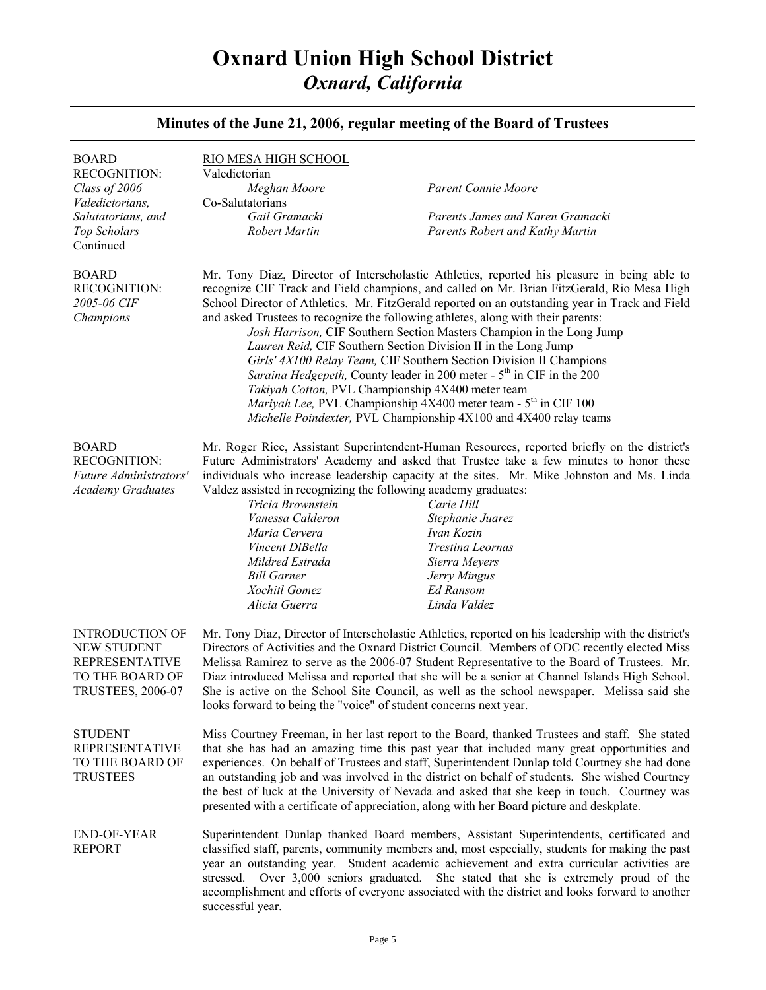| <b>BOARD</b><br><b>RECOGNITION:</b><br>Class of 2006<br>Valedictorians,<br>Salutatorians, and<br>Top Scholars<br>Continued | RIO MESA HIGH SCHOOL<br>Valedictorian<br>Meghan Moore<br>Co-Salutatorians<br>Gail Gramacki<br>Robert Martin                                                                                                                                                                                                                                                                                                                                                                                                                                                                 | <b>Parent Connie Moore</b><br>Parents James and Karen Gramacki<br>Parents Robert and Kathy Martin                                                                                                                                                                                                                                                                                                                                                                                                                                                                                                                                                                                                                                                                                                                                                                                                  |
|----------------------------------------------------------------------------------------------------------------------------|-----------------------------------------------------------------------------------------------------------------------------------------------------------------------------------------------------------------------------------------------------------------------------------------------------------------------------------------------------------------------------------------------------------------------------------------------------------------------------------------------------------------------------------------------------------------------------|----------------------------------------------------------------------------------------------------------------------------------------------------------------------------------------------------------------------------------------------------------------------------------------------------------------------------------------------------------------------------------------------------------------------------------------------------------------------------------------------------------------------------------------------------------------------------------------------------------------------------------------------------------------------------------------------------------------------------------------------------------------------------------------------------------------------------------------------------------------------------------------------------|
| <b>BOARD</b><br><b>RECOGNITION:</b><br>2005-06 CIF<br>Champions                                                            |                                                                                                                                                                                                                                                                                                                                                                                                                                                                                                                                                                             | Mr. Tony Diaz, Director of Interscholastic Athletics, reported his pleasure in being able to<br>recognize CIF Track and Field champions, and called on Mr. Brian FitzGerald, Rio Mesa High<br>School Director of Athletics. Mr. FitzGerald reported on an outstanding year in Track and Field<br>and asked Trustees to recognize the following athletes, along with their parents:<br>Josh Harrison, CIF Southern Section Masters Champion in the Long Jump<br>Lauren Reid, CIF Southern Section Division II in the Long Jump<br>Girls' 4X100 Relay Team, CIF Southern Section Division II Champions<br>Saraina Hedgepeth, County leader in 200 meter - 5 <sup>th</sup> in CIF in the 200<br>Takiyah Cotton, PVL Championship 4X400 meter team<br>Mariyah Lee, PVL Championship 4X400 meter team - 5 <sup>th</sup> in CIF 100<br>Michelle Poindexter, PVL Championship 4X100 and 4X400 relay teams |
| <b>BOARD</b><br><b>RECOGNITION:</b><br>Future Administrators'<br><b>Academy Graduates</b>                                  | Valdez assisted in recognizing the following academy graduates:<br>Tricia Brownstein<br>Vanessa Calderon<br>Maria Cervera<br>Vincent DiBella<br>Mildred Estrada<br><b>Bill Garner</b><br>Xochitl Gomez<br>Alicia Guerra                                                                                                                                                                                                                                                                                                                                                     | Mr. Roger Rice, Assistant Superintendent-Human Resources, reported briefly on the district's<br>Future Administrators' Academy and asked that Trustee take a few minutes to honor these<br>individuals who increase leadership capacity at the sites. Mr. Mike Johnston and Ms. Linda<br>Carie Hill<br>Stephanie Juarez<br>Ivan Kozin<br><b>Trestina Leornas</b><br>Sierra Meyers<br>Jerry Mingus<br>Ed Ransom<br>Linda Valdez                                                                                                                                                                                                                                                                                                                                                                                                                                                                     |
| <b>INTRODUCTION OF</b><br><b>NEW STUDENT</b><br><b>REPRESENTATIVE</b><br>TO THE BOARD OF<br><b>TRUSTEES, 2006-07</b>       | Mr. Tony Diaz, Director of Interscholastic Athletics, reported on his leadership with the district's<br>Directors of Activities and the Oxnard District Council. Members of ODC recently elected Miss<br>Melissa Ramirez to serve as the 2006-07 Student Representative to the Board of Trustees. Mr.<br>Diaz introduced Melissa and reported that she will be a senior at Channel Islands High School.<br>She is active on the School Site Council, as well as the school newspaper. Melissa said she<br>looks forward to being the "voice" of student concerns next year. |                                                                                                                                                                                                                                                                                                                                                                                                                                                                                                                                                                                                                                                                                                                                                                                                                                                                                                    |
| <b>STUDENT</b><br><b>REPRESENTATIVE</b><br>TO THE BOARD OF<br><b>TRUSTEES</b>                                              |                                                                                                                                                                                                                                                                                                                                                                                                                                                                                                                                                                             | Miss Courtney Freeman, in her last report to the Board, thanked Trustees and staff. She stated<br>that she has had an amazing time this past year that included many great opportunities and<br>experiences. On behalf of Trustees and staff, Superintendent Dunlap told Courtney she had done<br>an outstanding job and was involved in the district on behalf of students. She wished Courtney<br>the best of luck at the University of Nevada and asked that she keep in touch. Courtney was<br>presented with a certificate of appreciation, along with her Board picture and deskplate.                                                                                                                                                                                                                                                                                                       |
| END-OF-YEAR<br><b>REPORT</b>                                                                                               | stressed. Over 3,000 seniors graduated.<br>successful year.                                                                                                                                                                                                                                                                                                                                                                                                                                                                                                                 | Superintendent Dunlap thanked Board members, Assistant Superintendents, certificated and<br>classified staff, parents, community members and, most especially, students for making the past<br>year an outstanding year. Student academic achievement and extra curricular activities are<br>She stated that she is extremely proud of the<br>accomplishment and efforts of everyone associated with the district and looks forward to another                                                                                                                                                                                                                                                                                                                                                                                                                                                     |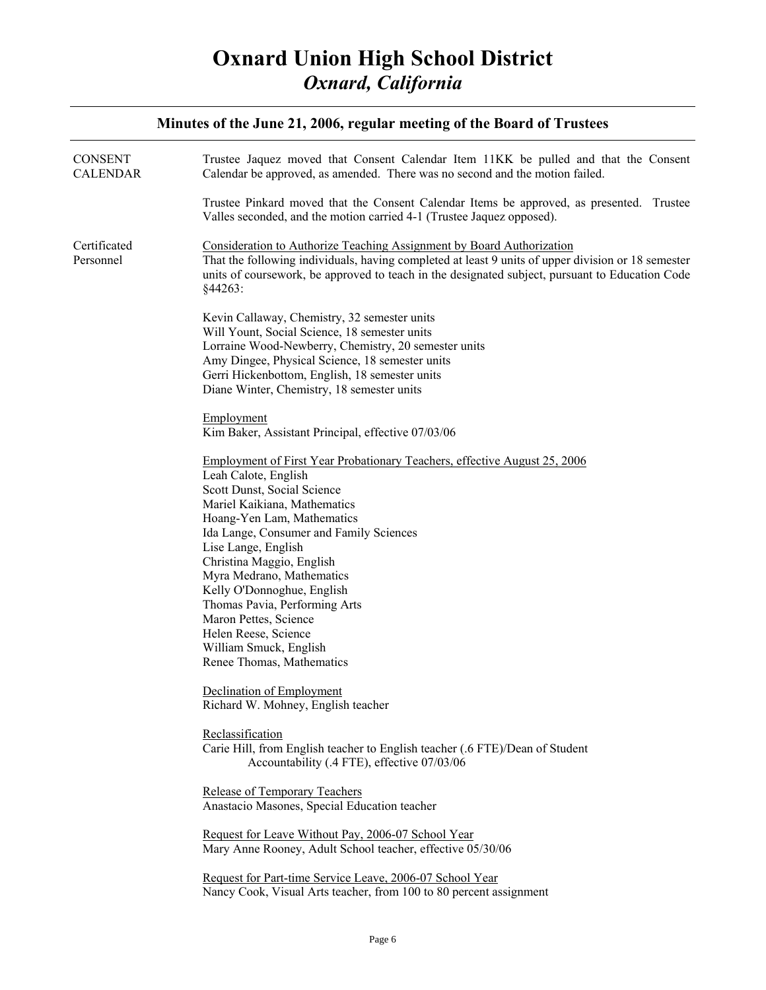| Minutes of the June 21, 2006, regular meeting of the Board of Trustees |                                                                                                                                                                                                                                                                                                                                                                                                                                                                                                                                                                      |  |
|------------------------------------------------------------------------|----------------------------------------------------------------------------------------------------------------------------------------------------------------------------------------------------------------------------------------------------------------------------------------------------------------------------------------------------------------------------------------------------------------------------------------------------------------------------------------------------------------------------------------------------------------------|--|
| <b>CONSENT</b><br><b>CALENDAR</b>                                      | Trustee Jaquez moved that Consent Calendar Item 11KK be pulled and that the Consent<br>Calendar be approved, as amended. There was no second and the motion failed.                                                                                                                                                                                                                                                                                                                                                                                                  |  |
|                                                                        | Trustee Pinkard moved that the Consent Calendar Items be approved, as presented. Trustee<br>Valles seconded, and the motion carried 4-1 (Trustee Jaquez opposed).                                                                                                                                                                                                                                                                                                                                                                                                    |  |
| Certificated<br>Personnel                                              | Consideration to Authorize Teaching Assignment by Board Authorization<br>That the following individuals, having completed at least 9 units of upper division or 18 semester<br>units of coursework, be approved to teach in the designated subject, pursuant to Education Code<br>§44263:                                                                                                                                                                                                                                                                            |  |
|                                                                        | Kevin Callaway, Chemistry, 32 semester units<br>Will Yount, Social Science, 18 semester units<br>Lorraine Wood-Newberry, Chemistry, 20 semester units<br>Amy Dingee, Physical Science, 18 semester units<br>Gerri Hickenbottom, English, 18 semester units<br>Diane Winter, Chemistry, 18 semester units                                                                                                                                                                                                                                                             |  |
|                                                                        | Employment<br>Kim Baker, Assistant Principal, effective 07/03/06                                                                                                                                                                                                                                                                                                                                                                                                                                                                                                     |  |
|                                                                        | Employment of First Year Probationary Teachers, effective August 25, 2006<br>Leah Calote, English<br>Scott Dunst, Social Science<br>Mariel Kaikiana, Mathematics<br>Hoang-Yen Lam, Mathematics<br>Ida Lange, Consumer and Family Sciences<br>Lise Lange, English<br>Christina Maggio, English<br>Myra Medrano, Mathematics<br>Kelly O'Donnoghue, English<br>Thomas Pavia, Performing Arts<br>Maron Pettes, Science<br>Helen Reese, Science<br>William Smuck, English<br>Renee Thomas, Mathematics<br>Declination of Employment<br>Richard W. Mohney, English teacher |  |
|                                                                        | Reclassification<br>Carie Hill, from English teacher to English teacher (.6 FTE)/Dean of Student<br>Accountability (.4 FTE), effective 07/03/06                                                                                                                                                                                                                                                                                                                                                                                                                      |  |
|                                                                        | Release of Temporary Teachers<br>Anastacio Masones, Special Education teacher                                                                                                                                                                                                                                                                                                                                                                                                                                                                                        |  |
|                                                                        | Request for Leave Without Pay, 2006-07 School Year<br>Mary Anne Rooney, Adult School teacher, effective 05/30/06                                                                                                                                                                                                                                                                                                                                                                                                                                                     |  |
|                                                                        | Request for Part-time Service Leave, 2006-07 School Year<br>Nancy Cook, Visual Arts teacher, from 100 to 80 percent assignment                                                                                                                                                                                                                                                                                                                                                                                                                                       |  |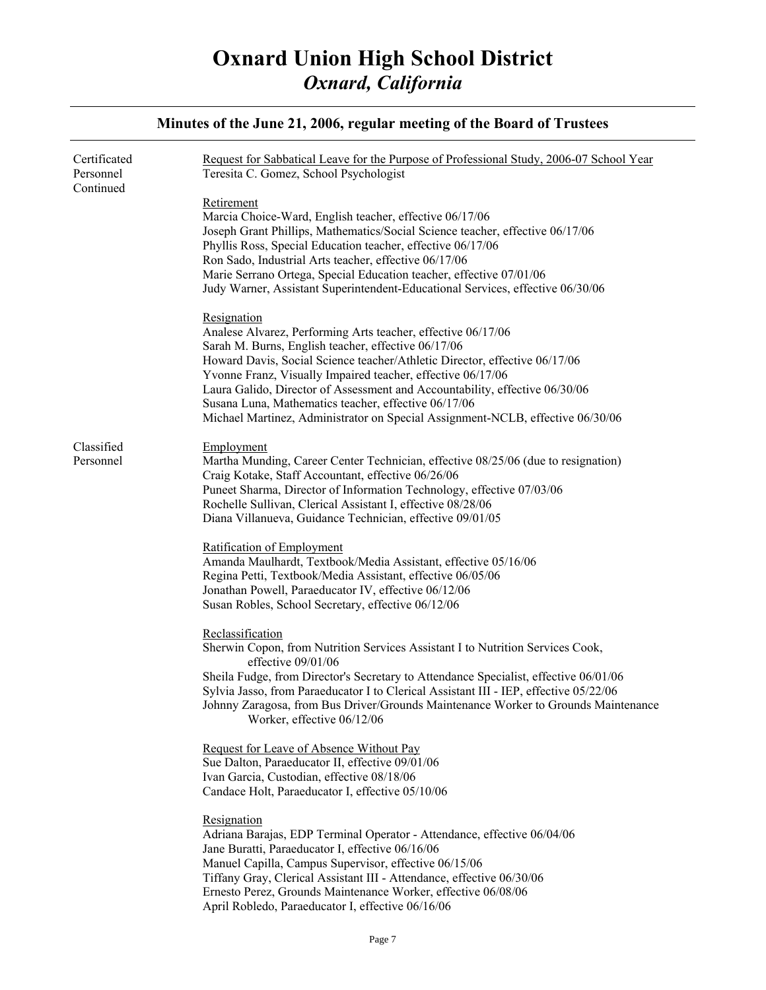| Certificated<br>Personnel | Request for Sabbatical Leave for the Purpose of Professional Study, 2006-07 School Year<br>Teresita C. Gomez, School Psychologist                                                                                                                                                                                                                                                                                                                                                                        |
|---------------------------|----------------------------------------------------------------------------------------------------------------------------------------------------------------------------------------------------------------------------------------------------------------------------------------------------------------------------------------------------------------------------------------------------------------------------------------------------------------------------------------------------------|
| Continued                 | Retirement<br>Marcia Choice-Ward, English teacher, effective 06/17/06<br>Joseph Grant Phillips, Mathematics/Social Science teacher, effective 06/17/06<br>Phyllis Ross, Special Education teacher, effective 06/17/06<br>Ron Sado, Industrial Arts teacher, effective 06/17/06<br>Marie Serrano Ortega, Special Education teacher, effective 07/01/06<br>Judy Warner, Assistant Superintendent-Educational Services, effective 06/30/06                                                                  |
|                           | Resignation<br>Analese Alvarez, Performing Arts teacher, effective 06/17/06<br>Sarah M. Burns, English teacher, effective 06/17/06<br>Howard Davis, Social Science teacher/Athletic Director, effective 06/17/06<br>Yvonne Franz, Visually Impaired teacher, effective 06/17/06<br>Laura Galido, Director of Assessment and Accountability, effective 06/30/06<br>Susana Luna, Mathematics teacher, effective 06/17/06<br>Michael Martinez, Administrator on Special Assignment-NCLB, effective 06/30/06 |
| Classified<br>Personnel   | Employment<br>Martha Munding, Career Center Technician, effective 08/25/06 (due to resignation)<br>Craig Kotake, Staff Accountant, effective 06/26/06<br>Puneet Sharma, Director of Information Technology, effective 07/03/06<br>Rochelle Sullivan, Clerical Assistant I, effective 08/28/06<br>Diana Villanueva, Guidance Technician, effective 09/01/05                                                                                                                                               |
|                           | Ratification of Employment<br>Amanda Maulhardt, Textbook/Media Assistant, effective 05/16/06<br>Regina Petti, Textbook/Media Assistant, effective 06/05/06<br>Jonathan Powell, Paraeducator IV, effective 06/12/06<br>Susan Robles, School Secretary, effective 06/12/06                                                                                                                                                                                                                                 |
|                           | Reclassification<br>Sherwin Copon, from Nutrition Services Assistant I to Nutrition Services Cook,<br>effective $09/01/06$<br>Sheila Fudge, from Director's Secretary to Attendance Specialist, effective 06/01/06<br>Sylvia Jasso, from Paraeducator I to Clerical Assistant III - IEP, effective 05/22/06<br>Johnny Zaragosa, from Bus Driver/Grounds Maintenance Worker to Grounds Maintenance<br>Worker, effective 06/12/06                                                                          |
|                           | Request for Leave of Absence Without Pay<br>Sue Dalton, Paraeducator II, effective 09/01/06<br>Ivan Garcia, Custodian, effective 08/18/06<br>Candace Holt, Paraeducator I, effective 05/10/06                                                                                                                                                                                                                                                                                                            |
|                           | Resignation<br>Adriana Barajas, EDP Terminal Operator - Attendance, effective 06/04/06<br>Jane Buratti, Paraeducator I, effective 06/16/06<br>Manuel Capilla, Campus Supervisor, effective 06/15/06<br>Tiffany Gray, Clerical Assistant III - Attendance, effective 06/30/06<br>Ernesto Perez, Grounds Maintenance Worker, effective 06/08/06<br>April Robledo, Paraeducator I, effective 06/16/06                                                                                                       |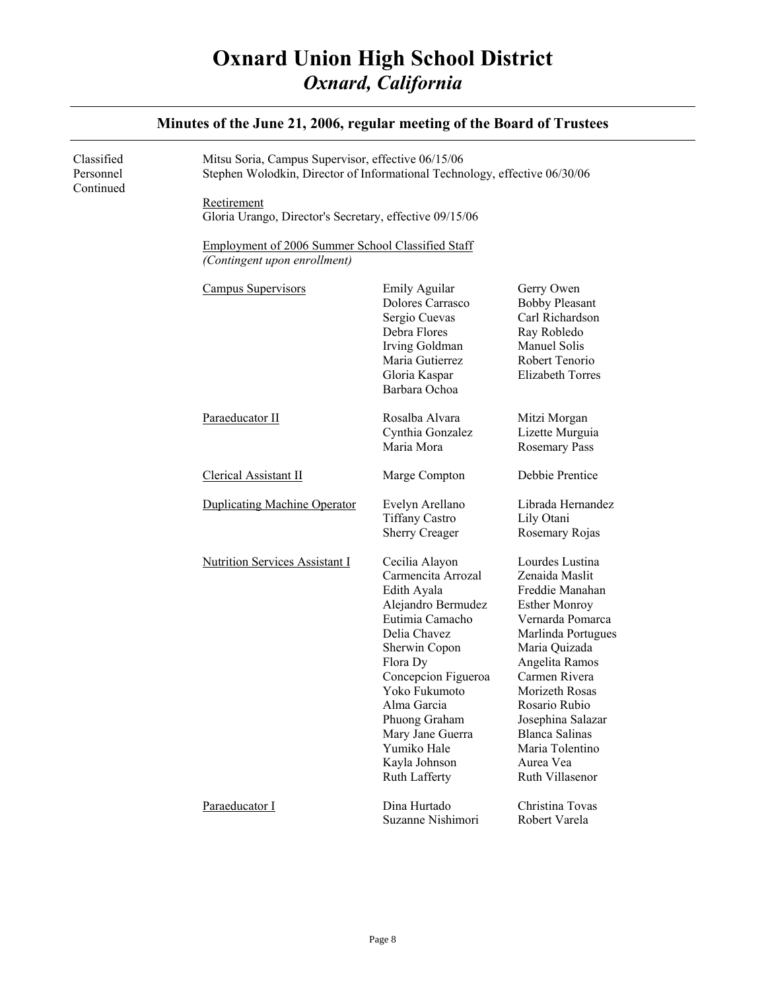#### Classified Personnel Continued Mitsu Soria, Campus Supervisor, effective 06/15/06 Stephen Wolodkin, Director of Informational Technology, effective 06/30/06 Reetirement Gloria Urango, Director's Secretary, effective 09/15/06 Employment of 2006 Summer School Classified Staff *(Contingent upon enrollment)* Campus Supervisors<br>
Emily Aguilar Gerry Owen<br>
Dolores Carrasco Bobby Pleasant Dolores Carrasco Sergio Cuevas Carl Richardson Debra Flores Ray Robledo Irving Goldman Manuel Solis Maria Gutierrez Robert Tenorio Gloria Kaspar Elizabeth Torres Barbara Ochoa Paraeducator II Rosalba Alvara Mitzi Morgan Cynthia Gonzalez Lizette Murguia Maria Mora<br>
Rosemary Pass Clerical Assistant II Marge Compton Debbie Prentice Duplicating Machine Operator Evelyn Arellano Librada Hernandez Tiffany Castro Lily Otani Sherry Creager Rosemary Rojas Nutrition Services Assistant I Cecilia Alayon Lourdes Lustina Carmencita Arrozal Zenaida Maslit Edith Ayala Freddie Manahan Alejandro Bermudez Esther Monroy Eutimia Camacho Vernarda Pomarca Delia Chavez Marlinda Portugues Sherwin Copon Maria Quizada Flora Dy Angelita Ramos Concepcion Figueroa Carmen Rivera Yoko Fukumoto Morizeth Rosas Alma Garcia Rosario Rubio Phuong Graham Josephina Salazar Mary Jane Guerra Blanca Salinas Yumiko Hale Maria Tolentino Kayla Johnson Aurea Vea Ruth Lafferty Ruth Villasenor Paraeducator I Dina Hurtado Christina Tovas Suzanne Nishimori Robert Varela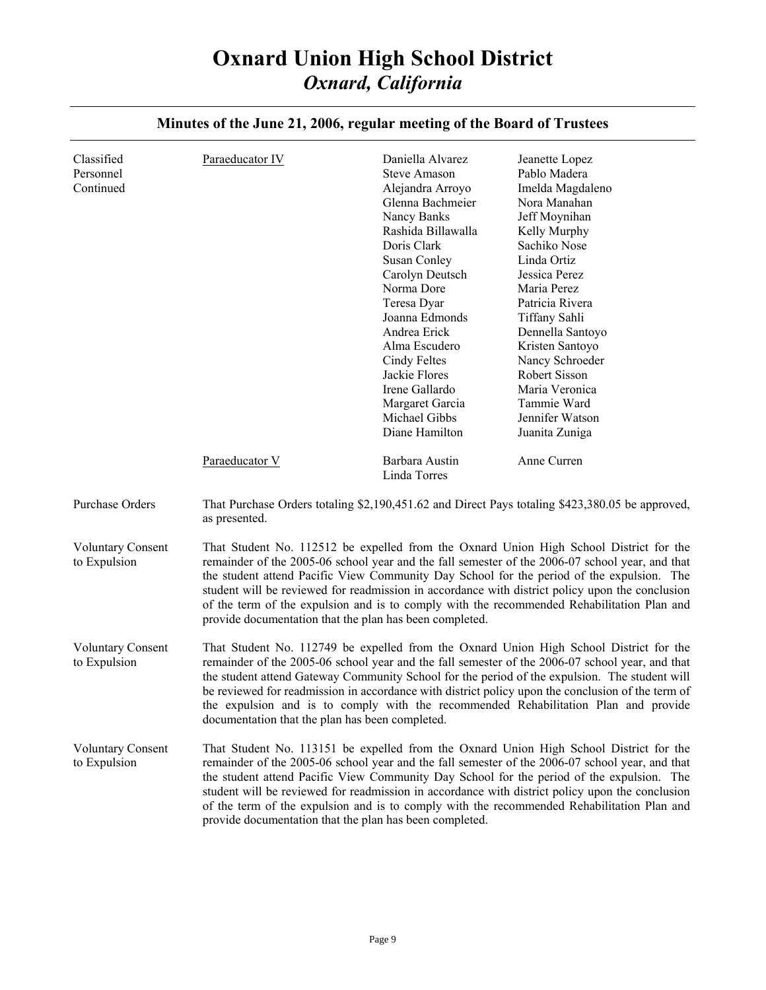| Classified<br>Personnel<br>Continued     | Paraeducator IV                                                                                                                                                                                                                                                                                                                                                                                                                                                                                                                                    | Daniella Alvarez<br><b>Steve Amason</b><br>Alejandra Arroyo<br>Glenna Bachmeier<br>Nancy Banks<br>Rashida Billawalla<br>Doris Clark<br><b>Susan Conley</b><br>Carolyn Deutsch<br>Norma Dore<br>Teresa Dyar<br>Joanna Edmonds<br>Andrea Erick<br>Alma Escudero<br>Cindy Feltes<br>Jackie Flores<br>Irene Gallardo<br>Margaret Garcia<br>Michael Gibbs<br>Diane Hamilton | Jeanette Lopez<br>Pablo Madera<br>Imelda Magdaleno<br>Nora Manahan<br>Jeff Moynihan<br>Kelly Murphy<br>Sachiko Nose<br>Linda Ortiz<br>Jessica Perez<br>Maria Perez<br>Patricia Rivera<br>Tiffany Sahli<br>Dennella Santoyo<br>Kristen Santoyo<br>Nancy Schroeder<br>Robert Sisson<br>Maria Veronica<br>Tammie Ward<br>Jennifer Watson<br>Juanita Zuniga |
|------------------------------------------|----------------------------------------------------------------------------------------------------------------------------------------------------------------------------------------------------------------------------------------------------------------------------------------------------------------------------------------------------------------------------------------------------------------------------------------------------------------------------------------------------------------------------------------------------|------------------------------------------------------------------------------------------------------------------------------------------------------------------------------------------------------------------------------------------------------------------------------------------------------------------------------------------------------------------------|---------------------------------------------------------------------------------------------------------------------------------------------------------------------------------------------------------------------------------------------------------------------------------------------------------------------------------------------------------|
|                                          | Paraeducator V                                                                                                                                                                                                                                                                                                                                                                                                                                                                                                                                     | Barbara Austin<br>Linda Torres                                                                                                                                                                                                                                                                                                                                         | Anne Curren                                                                                                                                                                                                                                                                                                                                             |
| Purchase Orders                          | as presented.                                                                                                                                                                                                                                                                                                                                                                                                                                                                                                                                      |                                                                                                                                                                                                                                                                                                                                                                        | That Purchase Orders totaling \$2,190,451.62 and Direct Pays totaling \$423,380.05 be approved,                                                                                                                                                                                                                                                         |
| <b>Voluntary Consent</b><br>to Expulsion | That Student No. 112512 be expelled from the Oxnard Union High School District for the<br>remainder of the 2005-06 school year and the fall semester of the 2006-07 school year, and that<br>the student attend Pacific View Community Day School for the period of the expulsion. The<br>student will be reviewed for readmission in accordance with district policy upon the conclusion<br>of the term of the expulsion and is to comply with the recommended Rehabilitation Plan and<br>provide documentation that the plan has been completed. |                                                                                                                                                                                                                                                                                                                                                                        |                                                                                                                                                                                                                                                                                                                                                         |
| <b>Voluntary Consent</b><br>to Expulsion | That Student No. 112749 be expelled from the Oxnard Union High School District for the<br>remainder of the 2005-06 school year and the fall semester of the 2006-07 school year, and that<br>the student attend Gateway Community School for the period of the expulsion. The student will<br>be reviewed for readmission in accordance with district policy upon the conclusion of the term of<br>the expulsion and is to comply with the recommended Rehabilitation Plan and provide<br>documentation that the plan has been completed.          |                                                                                                                                                                                                                                                                                                                                                                        |                                                                                                                                                                                                                                                                                                                                                         |
| <b>Voluntary Consent</b><br>to Expulsion | That Student No. 113151 be expelled from the Oxnard Union High School District for the<br>remainder of the 2005-06 school year and the fall semester of the 2006-07 school year, and that<br>the student attend Pacific View Community Day School for the period of the expulsion. The<br>student will be reviewed for readmission in accordance with district policy upon the conclusion<br>of the term of the expulsion and is to comply with the recommended Rehabilitation Plan and<br>provide documentation that the plan has been completed. |                                                                                                                                                                                                                                                                                                                                                                        |                                                                                                                                                                                                                                                                                                                                                         |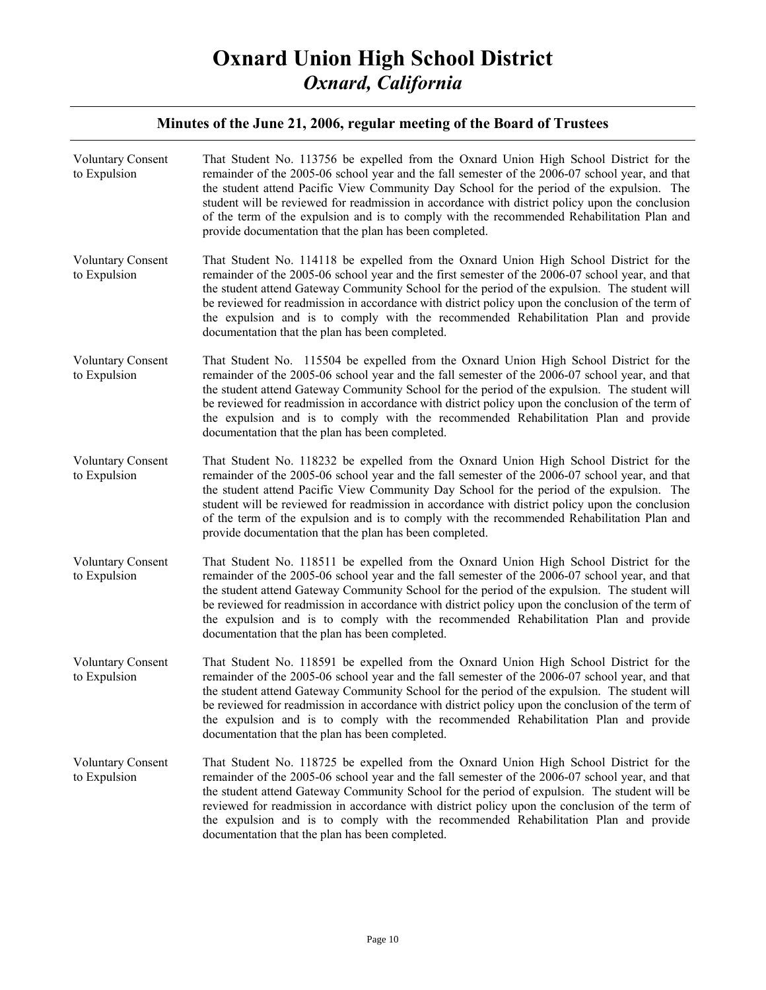| <b>Voluntary Consent</b><br>to Expulsion | That Student No. 113756 be expelled from the Oxnard Union High School District for the<br>remainder of the 2005-06 school year and the fall semester of the 2006-07 school year, and that<br>the student attend Pacific View Community Day School for the period of the expulsion. The<br>student will be reviewed for readmission in accordance with district policy upon the conclusion<br>of the term of the expulsion and is to comply with the recommended Rehabilitation Plan and<br>provide documentation that the plan has been completed. |
|------------------------------------------|----------------------------------------------------------------------------------------------------------------------------------------------------------------------------------------------------------------------------------------------------------------------------------------------------------------------------------------------------------------------------------------------------------------------------------------------------------------------------------------------------------------------------------------------------|
| <b>Voluntary Consent</b><br>to Expulsion | That Student No. 114118 be expelled from the Oxnard Union High School District for the<br>remainder of the 2005-06 school year and the first semester of the 2006-07 school year, and that<br>the student attend Gateway Community School for the period of the expulsion. The student will<br>be reviewed for readmission in accordance with district policy upon the conclusion of the term of<br>the expulsion and is to comply with the recommended Rehabilitation Plan and provide<br>documentation that the plan has been completed.         |
| <b>Voluntary Consent</b><br>to Expulsion | That Student No. 115504 be expelled from the Oxnard Union High School District for the<br>remainder of the 2005-06 school year and the fall semester of the 2006-07 school year, and that<br>the student attend Gateway Community School for the period of the expulsion. The student will<br>be reviewed for readmission in accordance with district policy upon the conclusion of the term of<br>the expulsion and is to comply with the recommended Rehabilitation Plan and provide<br>documentation that the plan has been completed.          |
| <b>Voluntary Consent</b><br>to Expulsion | That Student No. 118232 be expelled from the Oxnard Union High School District for the<br>remainder of the 2005-06 school year and the fall semester of the 2006-07 school year, and that<br>the student attend Pacific View Community Day School for the period of the expulsion. The<br>student will be reviewed for readmission in accordance with district policy upon the conclusion<br>of the term of the expulsion and is to comply with the recommended Rehabilitation Plan and<br>provide documentation that the plan has been completed. |
| <b>Voluntary Consent</b><br>to Expulsion | That Student No. 118511 be expelled from the Oxnard Union High School District for the<br>remainder of the 2005-06 school year and the fall semester of the 2006-07 school year, and that<br>the student attend Gateway Community School for the period of the expulsion. The student will<br>be reviewed for readmission in accordance with district policy upon the conclusion of the term of<br>the expulsion and is to comply with the recommended Rehabilitation Plan and provide<br>documentation that the plan has been completed.          |
| <b>Voluntary Consent</b><br>to Expulsion | That Student No. 118591 be expelled from the Oxnard Union High School District for the<br>remainder of the 2005-06 school year and the fall semester of the 2006-07 school year, and that<br>the student attend Gateway Community School for the period of the expulsion. The student will<br>be reviewed for readmission in accordance with district policy upon the conclusion of the term of<br>the expulsion and is to comply with the recommended Rehabilitation Plan and provide<br>documentation that the plan has been completed.          |
| <b>Voluntary Consent</b><br>to Expulsion | That Student No. 118725 be expelled from the Oxnard Union High School District for the<br>remainder of the 2005-06 school year and the fall semester of the 2006-07 school year, and that<br>the student attend Gateway Community School for the period of expulsion. The student will be<br>reviewed for readmission in accordance with district policy upon the conclusion of the term of<br>the expulsion and is to comply with the recommended Rehabilitation Plan and provide<br>documentation that the plan has been completed.              |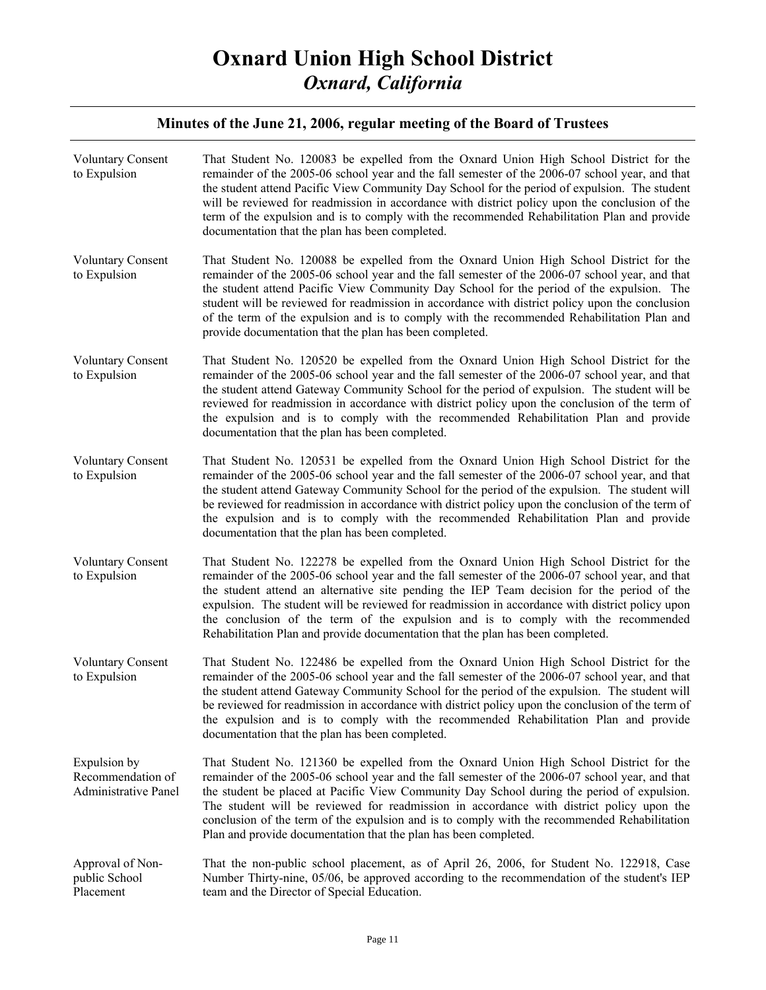| <b>Voluntary Consent</b><br>to Expulsion                         | That Student No. 120083 be expelled from the Oxnard Union High School District for the<br>remainder of the 2005-06 school year and the fall semester of the 2006-07 school year, and that<br>the student attend Pacific View Community Day School for the period of expulsion. The student<br>will be reviewed for readmission in accordance with district policy upon the conclusion of the<br>term of the expulsion and is to comply with the recommended Rehabilitation Plan and provide<br>documentation that the plan has been completed.                     |
|------------------------------------------------------------------|--------------------------------------------------------------------------------------------------------------------------------------------------------------------------------------------------------------------------------------------------------------------------------------------------------------------------------------------------------------------------------------------------------------------------------------------------------------------------------------------------------------------------------------------------------------------|
| <b>Voluntary Consent</b><br>to Expulsion                         | That Student No. 120088 be expelled from the Oxnard Union High School District for the<br>remainder of the 2005-06 school year and the fall semester of the 2006-07 school year, and that<br>the student attend Pacific View Community Day School for the period of the expulsion. The<br>student will be reviewed for readmission in accordance with district policy upon the conclusion<br>of the term of the expulsion and is to comply with the recommended Rehabilitation Plan and<br>provide documentation that the plan has been completed.                 |
| <b>Voluntary Consent</b><br>to Expulsion                         | That Student No. 120520 be expelled from the Oxnard Union High School District for the<br>remainder of the 2005-06 school year and the fall semester of the 2006-07 school year, and that<br>the student attend Gateway Community School for the period of expulsion. The student will be<br>reviewed for readmission in accordance with district policy upon the conclusion of the term of<br>the expulsion and is to comply with the recommended Rehabilitation Plan and provide<br>documentation that the plan has been completed.                              |
| <b>Voluntary Consent</b><br>to Expulsion                         | That Student No. 120531 be expelled from the Oxnard Union High School District for the<br>remainder of the 2005-06 school year and the fall semester of the 2006-07 school year, and that<br>the student attend Gateway Community School for the period of the expulsion. The student will<br>be reviewed for readmission in accordance with district policy upon the conclusion of the term of<br>the expulsion and is to comply with the recommended Rehabilitation Plan and provide<br>documentation that the plan has been completed.                          |
| <b>Voluntary Consent</b><br>to Expulsion                         | That Student No. 122278 be expelled from the Oxnard Union High School District for the<br>remainder of the 2005-06 school year and the fall semester of the 2006-07 school year, and that<br>the student attend an alternative site pending the IEP Team decision for the period of the<br>expulsion. The student will be reviewed for readmission in accordance with district policy upon<br>the conclusion of the term of the expulsion and is to comply with the recommended<br>Rehabilitation Plan and provide documentation that the plan has been completed. |
| <b>Voluntary Consent</b><br>to Expulsion                         | That Student No. 122486 be expelled from the Oxnard Union High School District for the<br>remainder of the 2005-06 school year and the fall semester of the 2006-07 school year, and that<br>the student attend Gateway Community School for the period of the expulsion. The student will<br>be reviewed for readmission in accordance with district policy upon the conclusion of the term of<br>the expulsion and is to comply with the recommended Rehabilitation Plan and provide<br>documentation that the plan has been completed.                          |
| Expulsion by<br>Recommendation of<br><b>Administrative Panel</b> | That Student No. 121360 be expelled from the Oxnard Union High School District for the<br>remainder of the 2005-06 school year and the fall semester of the 2006-07 school year, and that<br>the student be placed at Pacific View Community Day School during the period of expulsion.<br>The student will be reviewed for readmission in accordance with district policy upon the<br>conclusion of the term of the expulsion and is to comply with the recommended Rehabilitation<br>Plan and provide documentation that the plan has been completed.            |
| Approval of Non-<br>public School<br>Placement                   | That the non-public school placement, as of April 26, 2006, for Student No. 122918, Case<br>Number Thirty-nine, 05/06, be approved according to the recommendation of the student's IEP<br>team and the Director of Special Education.                                                                                                                                                                                                                                                                                                                             |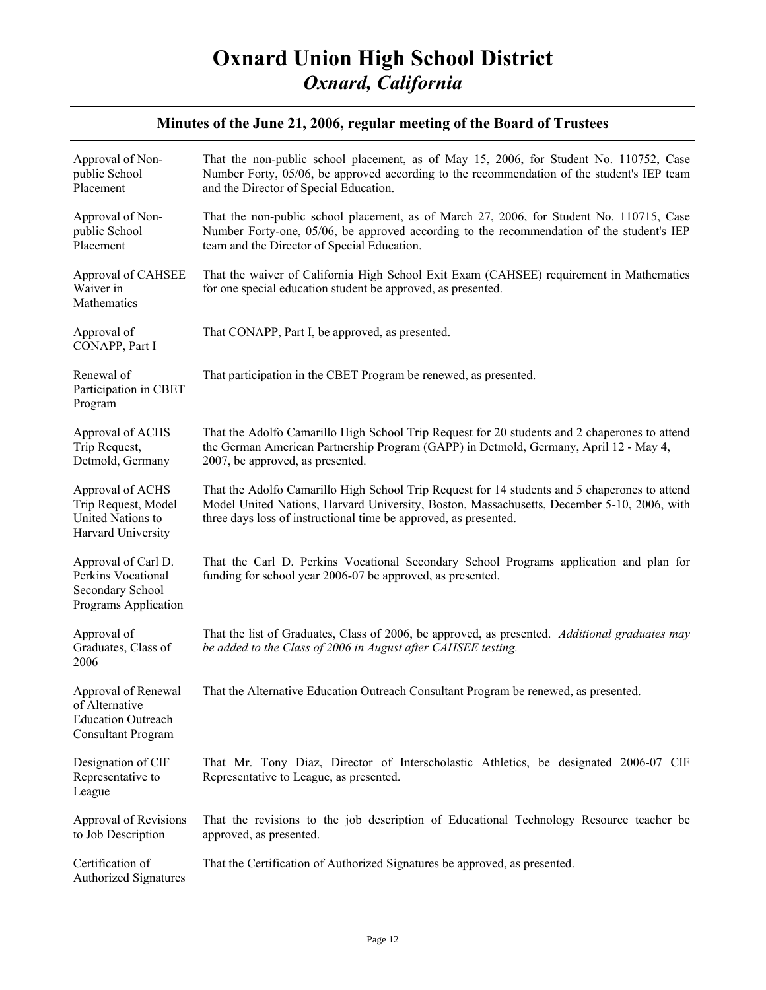| Approval of Non-<br>public School<br>Placement                                                  | That the non-public school placement, as of May 15, 2006, for Student No. 110752, Case<br>Number Forty, 05/06, be approved according to the recommendation of the student's IEP team<br>and the Director of Special Education.                                  |
|-------------------------------------------------------------------------------------------------|-----------------------------------------------------------------------------------------------------------------------------------------------------------------------------------------------------------------------------------------------------------------|
| Approval of Non-<br>public School<br>Placement                                                  | That the non-public school placement, as of March 27, 2006, for Student No. 110715, Case<br>Number Forty-one, 05/06, be approved according to the recommendation of the student's IEP<br>team and the Director of Special Education.                            |
| Approval of CAHSEE<br>Waiver in<br>Mathematics                                                  | That the waiver of California High School Exit Exam (CAHSEE) requirement in Mathematics<br>for one special education student be approved, as presented.                                                                                                         |
| Approval of<br>CONAPP, Part I                                                                   | That CONAPP, Part I, be approved, as presented.                                                                                                                                                                                                                 |
| Renewal of<br>Participation in CBET<br>Program                                                  | That participation in the CBET Program be renewed, as presented.                                                                                                                                                                                                |
| Approval of ACHS<br>Trip Request,<br>Detmold, Germany                                           | That the Adolfo Camarillo High School Trip Request for 20 students and 2 chaperones to attend<br>the German American Partnership Program (GAPP) in Detmold, Germany, April 12 - May 4,<br>2007, be approved, as presented.                                      |
| Approval of ACHS<br>Trip Request, Model<br>United Nations to<br>Harvard University              | That the Adolfo Camarillo High School Trip Request for 14 students and 5 chaperones to attend<br>Model United Nations, Harvard University, Boston, Massachusetts, December 5-10, 2006, with<br>three days loss of instructional time be approved, as presented. |
| Approval of Carl D.<br>Perkins Vocational<br>Secondary School<br>Programs Application           | That the Carl D. Perkins Vocational Secondary School Programs application and plan for<br>funding for school year 2006-07 be approved, as presented.                                                                                                            |
| Approval of<br>Graduates, Class of<br>2006                                                      | That the list of Graduates, Class of 2006, be approved, as presented. Additional graduates may<br>be added to the Class of 2006 in August after CAHSEE testing.                                                                                                 |
| Approval of Renewal<br>of Alternative<br><b>Education Outreach</b><br><b>Consultant Program</b> | That the Alternative Education Outreach Consultant Program be renewed, as presented.                                                                                                                                                                            |
| Designation of CIF<br>Representative to<br>League                                               | That Mr. Tony Diaz, Director of Interscholastic Athletics, be designated 2006-07 CIF<br>Representative to League, as presented.                                                                                                                                 |
| Approval of Revisions<br>to Job Description                                                     | That the revisions to the job description of Educational Technology Resource teacher be<br>approved, as presented.                                                                                                                                              |
| Certification of<br><b>Authorized Signatures</b>                                                | That the Certification of Authorized Signatures be approved, as presented.                                                                                                                                                                                      |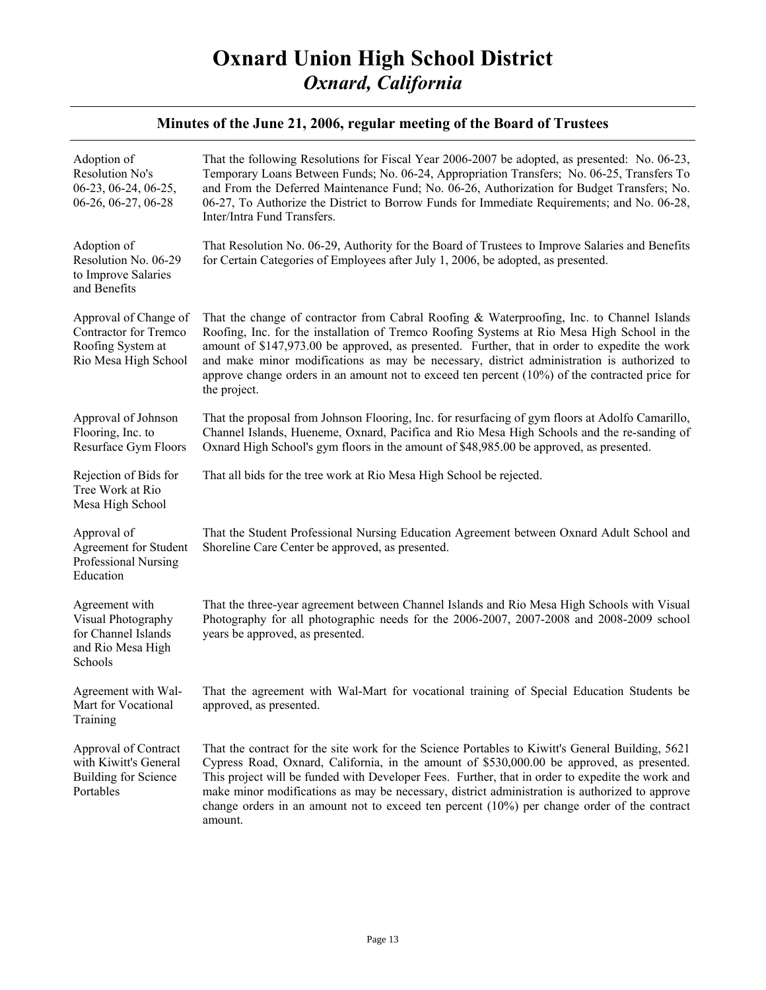| Adoption of<br>Resolution No's<br>06-23, 06-24, 06-25,<br>06-26, 06-27, 06-28                      | That the following Resolutions for Fiscal Year 2006-2007 be adopted, as presented: No. 06-23,<br>Temporary Loans Between Funds; No. 06-24, Appropriation Transfers; No. 06-25, Transfers To<br>and From the Deferred Maintenance Fund; No. 06-26, Authorization for Budget Transfers; No.<br>06-27, To Authorize the District to Borrow Funds for Immediate Requirements; and No. 06-28,<br>Inter/Intra Fund Transfers.                                                                                          |
|----------------------------------------------------------------------------------------------------|------------------------------------------------------------------------------------------------------------------------------------------------------------------------------------------------------------------------------------------------------------------------------------------------------------------------------------------------------------------------------------------------------------------------------------------------------------------------------------------------------------------|
| Adoption of<br>Resolution No. 06-29<br>to Improve Salaries<br>and Benefits                         | That Resolution No. 06-29, Authority for the Board of Trustees to Improve Salaries and Benefits<br>for Certain Categories of Employees after July 1, 2006, be adopted, as presented.                                                                                                                                                                                                                                                                                                                             |
| Approval of Change of<br><b>Contractor for Tremco</b><br>Roofing System at<br>Rio Mesa High School | That the change of contractor from Cabral Roofing & Waterproofing, Inc. to Channel Islands<br>Roofing, Inc. for the installation of Tremco Roofing Systems at Rio Mesa High School in the<br>amount of \$147,973.00 be approved, as presented. Further, that in order to expedite the work<br>and make minor modifications as may be necessary, district administration is authorized to<br>approve change orders in an amount not to exceed ten percent $(10\%)$ of the contracted price for<br>the project.    |
| Approval of Johnson<br>Flooring, Inc. to<br>Resurface Gym Floors                                   | That the proposal from Johnson Flooring, Inc. for resurfacing of gym floors at Adolfo Camarillo,<br>Channel Islands, Hueneme, Oxnard, Pacifica and Rio Mesa High Schools and the re-sanding of<br>Oxnard High School's gym floors in the amount of \$48,985.00 be approved, as presented.                                                                                                                                                                                                                        |
| Rejection of Bids for<br>Tree Work at Rio<br>Mesa High School                                      | That all bids for the tree work at Rio Mesa High School be rejected.                                                                                                                                                                                                                                                                                                                                                                                                                                             |
| Approval of<br>Agreement for Student<br>Professional Nursing<br>Education                          | That the Student Professional Nursing Education Agreement between Oxnard Adult School and<br>Shoreline Care Center be approved, as presented.                                                                                                                                                                                                                                                                                                                                                                    |
| Agreement with<br>Visual Photography<br>for Channel Islands<br>and Rio Mesa High<br>Schools        | That the three-year agreement between Channel Islands and Rio Mesa High Schools with Visual<br>Photography for all photographic needs for the 2006-2007, 2007-2008 and 2008-2009 school<br>years be approved, as presented.                                                                                                                                                                                                                                                                                      |
| Agreement with Wal-<br>Mart for Vocational<br>Training                                             | That the agreement with Wal-Mart for vocational training of Special Education Students be<br>approved, as presented.                                                                                                                                                                                                                                                                                                                                                                                             |
| Approval of Contract<br>with Kiwitt's General<br>Building for Science<br>Portables                 | That the contract for the site work for the Science Portables to Kiwitt's General Building, 5621<br>Cypress Road, Oxnard, California, in the amount of \$530,000.00 be approved, as presented.<br>This project will be funded with Developer Fees. Further, that in order to expedite the work and<br>make minor modifications as may be necessary, district administration is authorized to approve<br>change orders in an amount not to exceed ten percent $(10%)$ per change order of the contract<br>amount. |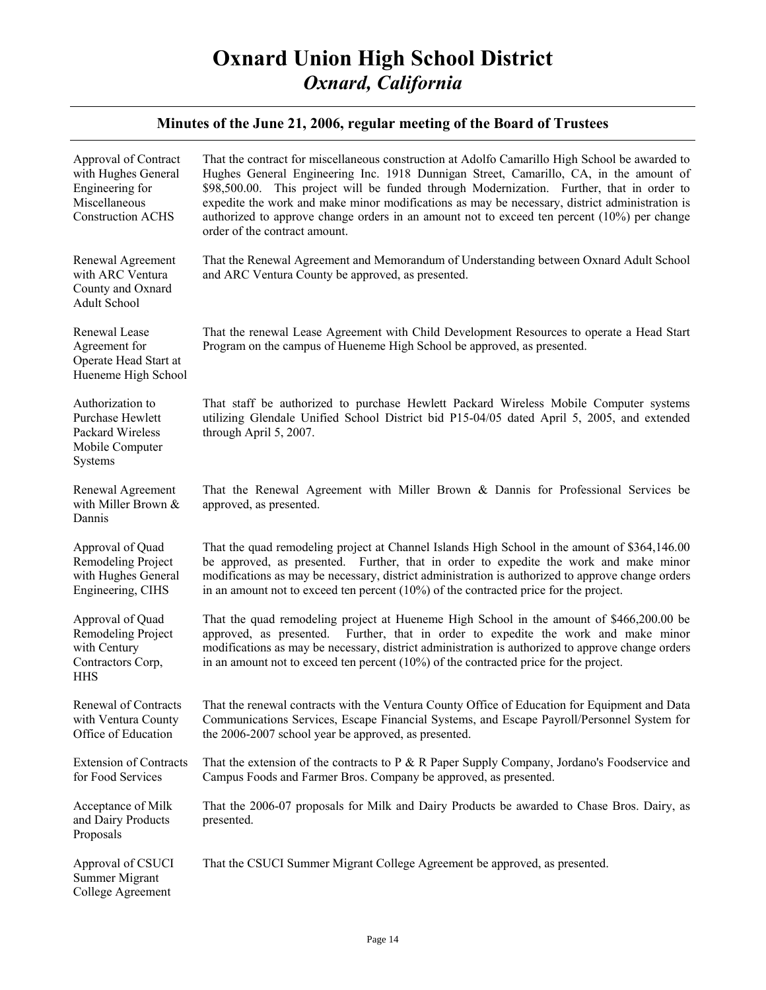| Approval of Contract<br>with Hughes General<br>Engineering for<br>Miscellaneous<br><b>Construction ACHS</b> | That the contract for miscellaneous construction at Adolfo Camarillo High School be awarded to<br>Hughes General Engineering Inc. 1918 Dunnigan Street, Camarillo, CA, in the amount of<br>\$98,500.00. This project will be funded through Modernization. Further, that in order to<br>expedite the work and make minor modifications as may be necessary, district administration is<br>authorized to approve change orders in an amount not to exceed ten percent (10%) per change<br>order of the contract amount. |
|-------------------------------------------------------------------------------------------------------------|------------------------------------------------------------------------------------------------------------------------------------------------------------------------------------------------------------------------------------------------------------------------------------------------------------------------------------------------------------------------------------------------------------------------------------------------------------------------------------------------------------------------|
| Renewal Agreement<br>with ARC Ventura<br>County and Oxnard<br>Adult School                                  | That the Renewal Agreement and Memorandum of Understanding between Oxnard Adult School<br>and ARC Ventura County be approved, as presented.                                                                                                                                                                                                                                                                                                                                                                            |
| Renewal Lease<br>Agreement for<br>Operate Head Start at<br>Hueneme High School                              | That the renewal Lease Agreement with Child Development Resources to operate a Head Start<br>Program on the campus of Hueneme High School be approved, as presented.                                                                                                                                                                                                                                                                                                                                                   |
| Authorization to<br>Purchase Hewlett<br>Packard Wireless<br>Mobile Computer<br><b>Systems</b>               | That staff be authorized to purchase Hewlett Packard Wireless Mobile Computer systems<br>utilizing Glendale Unified School District bid P15-04/05 dated April 5, 2005, and extended<br>through April 5, 2007.                                                                                                                                                                                                                                                                                                          |
| Renewal Agreement<br>with Miller Brown &<br>Dannis                                                          | That the Renewal Agreement with Miller Brown & Dannis for Professional Services be<br>approved, as presented.                                                                                                                                                                                                                                                                                                                                                                                                          |
| Approval of Quad<br>Remodeling Project<br>with Hughes General<br>Engineering, CIHS                          | That the quad remodeling project at Channel Islands High School in the amount of \$364,146.00<br>be approved, as presented. Further, that in order to expedite the work and make minor<br>modifications as may be necessary, district administration is authorized to approve change orders<br>in an amount not to exceed ten percent $(10\%)$ of the contracted price for the project.                                                                                                                                |
| Approval of Quad<br>Remodeling Project<br>with Century<br>Contractors Corp,<br><b>HHS</b>                   | That the quad remodeling project at Hueneme High School in the amount of \$466,200.00 be<br>Further, that in order to expedite the work and make minor<br>approved, as presented.<br>modifications as may be necessary, district administration is authorized to approve change orders<br>in an amount not to exceed ten percent $(10\%)$ of the contracted price for the project.                                                                                                                                     |
| Renewal of Contracts<br>with Ventura County<br>Office of Education                                          | That the renewal contracts with the Ventura County Office of Education for Equipment and Data<br>Communications Services, Escape Financial Systems, and Escape Payroll/Personnel System for<br>the 2006-2007 school year be approved, as presented.                                                                                                                                                                                                                                                                    |
| <b>Extension of Contracts</b><br>for Food Services                                                          | That the extension of the contracts to $P \& R$ Paper Supply Company, Jordano's Foodservice and<br>Campus Foods and Farmer Bros. Company be approved, as presented.                                                                                                                                                                                                                                                                                                                                                    |
| Acceptance of Milk<br>and Dairy Products<br>Proposals                                                       | That the 2006-07 proposals for Milk and Dairy Products be awarded to Chase Bros. Dairy, as<br>presented.                                                                                                                                                                                                                                                                                                                                                                                                               |
| Approval of CSUCI<br>Summer Migrant<br>College Agreement                                                    | That the CSUCI Summer Migrant College Agreement be approved, as presented.                                                                                                                                                                                                                                                                                                                                                                                                                                             |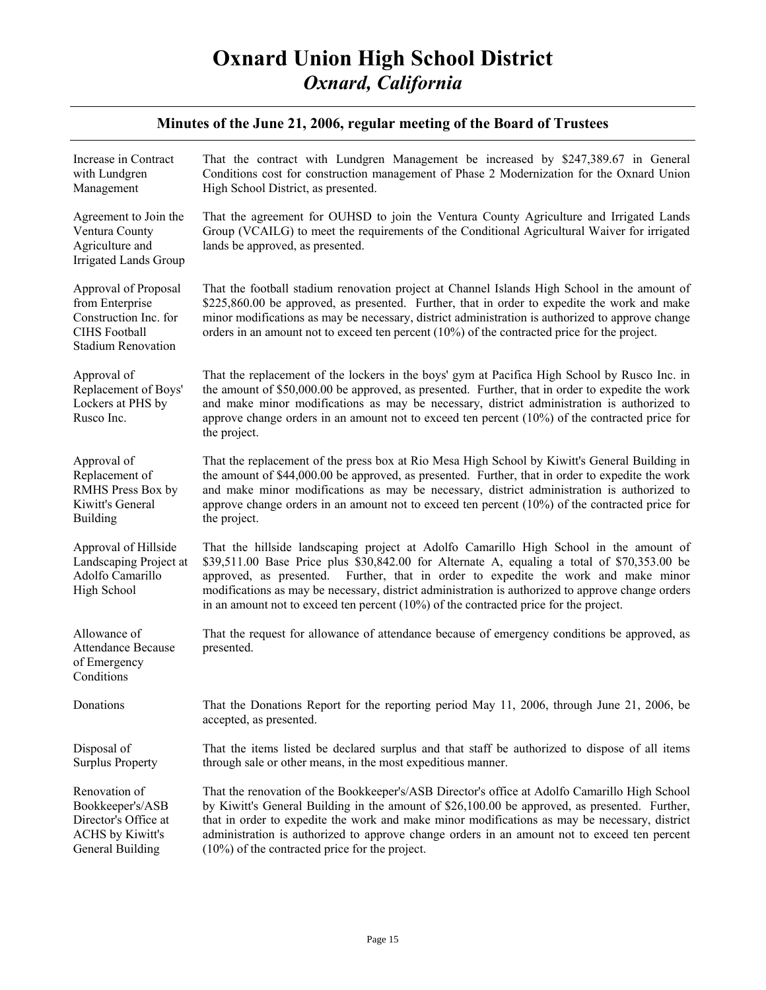| Increase in Contract<br>with Lundgren<br>Management                                                                   | That the contract with Lundgren Management be increased by \$247,389.67 in General<br>Conditions cost for construction management of Phase 2 Modernization for the Oxnard Union<br>High School District, as presented.                                                                                                                                                                                                                                                          |
|-----------------------------------------------------------------------------------------------------------------------|---------------------------------------------------------------------------------------------------------------------------------------------------------------------------------------------------------------------------------------------------------------------------------------------------------------------------------------------------------------------------------------------------------------------------------------------------------------------------------|
| Agreement to Join the<br>Ventura County<br>Agriculture and<br><b>Irrigated Lands Group</b>                            | That the agreement for OUHSD to join the Ventura County Agriculture and Irrigated Lands<br>Group (VCAILG) to meet the requirements of the Conditional Agricultural Waiver for irrigated<br>lands be approved, as presented.                                                                                                                                                                                                                                                     |
| Approval of Proposal<br>from Enterprise<br>Construction Inc. for<br><b>CIHS Football</b><br><b>Stadium Renovation</b> | That the football stadium renovation project at Channel Islands High School in the amount of<br>\$225,860.00 be approved, as presented. Further, that in order to expedite the work and make<br>minor modifications as may be necessary, district administration is authorized to approve change<br>orders in an amount not to exceed ten percent $(10\%)$ of the contracted price for the project.                                                                             |
| Approval of<br>Replacement of Boys'<br>Lockers at PHS by<br>Rusco Inc.                                                | That the replacement of the lockers in the boys' gym at Pacifica High School by Rusco Inc. in<br>the amount of \$50,000.00 be approved, as presented. Further, that in order to expedite the work<br>and make minor modifications as may be necessary, district administration is authorized to<br>approve change orders in an amount not to exceed ten percent $(10\%)$ of the contracted price for<br>the project.                                                            |
| Approval of<br>Replacement of<br>RMHS Press Box by<br>Kiwitt's General<br><b>Building</b>                             | That the replacement of the press box at Rio Mesa High School by Kiwitt's General Building in<br>the amount of \$44,000.00 be approved, as presented. Further, that in order to expedite the work<br>and make minor modifications as may be necessary, district administration is authorized to<br>approve change orders in an amount not to exceed ten percent $(10\%)$ of the contracted price for<br>the project.                                                            |
| Approval of Hillside<br>Landscaping Project at<br>Adolfo Camarillo<br>High School                                     | That the hillside landscaping project at Adolfo Camarillo High School in the amount of<br>\$39,511.00 Base Price plus \$30,842.00 for Alternate A, equaling a total of \$70,353.00 be<br>Further, that in order to expedite the work and make minor<br>approved, as presented.<br>modifications as may be necessary, district administration is authorized to approve change orders<br>in an amount not to exceed ten percent $(10\%)$ of the contracted price for the project. |
| Allowance of<br><b>Attendance Because</b><br>of Emergency<br>Conditions                                               | That the request for allowance of attendance because of emergency conditions be approved, as<br>presented.                                                                                                                                                                                                                                                                                                                                                                      |
| Donations                                                                                                             | That the Donations Report for the reporting period May 11, 2006, through June 21, 2006, be<br>accepted, as presented.                                                                                                                                                                                                                                                                                                                                                           |
| Disposal of<br><b>Surplus Property</b>                                                                                | That the items listed be declared surplus and that staff be authorized to dispose of all items<br>through sale or other means, in the most expeditious manner.                                                                                                                                                                                                                                                                                                                  |
| Renovation of<br>Bookkeeper's/ASB<br>Director's Office at<br><b>ACHS</b> by Kiwitt's<br>General Building              | That the renovation of the Bookkeeper's/ASB Director's office at Adolfo Camarillo High School<br>by Kiwitt's General Building in the amount of \$26,100.00 be approved, as presented. Further,<br>that in order to expedite the work and make minor modifications as may be necessary, district<br>administration is authorized to approve change orders in an amount not to exceed ten percent<br>$(10\%)$ of the contracted price for the project.                            |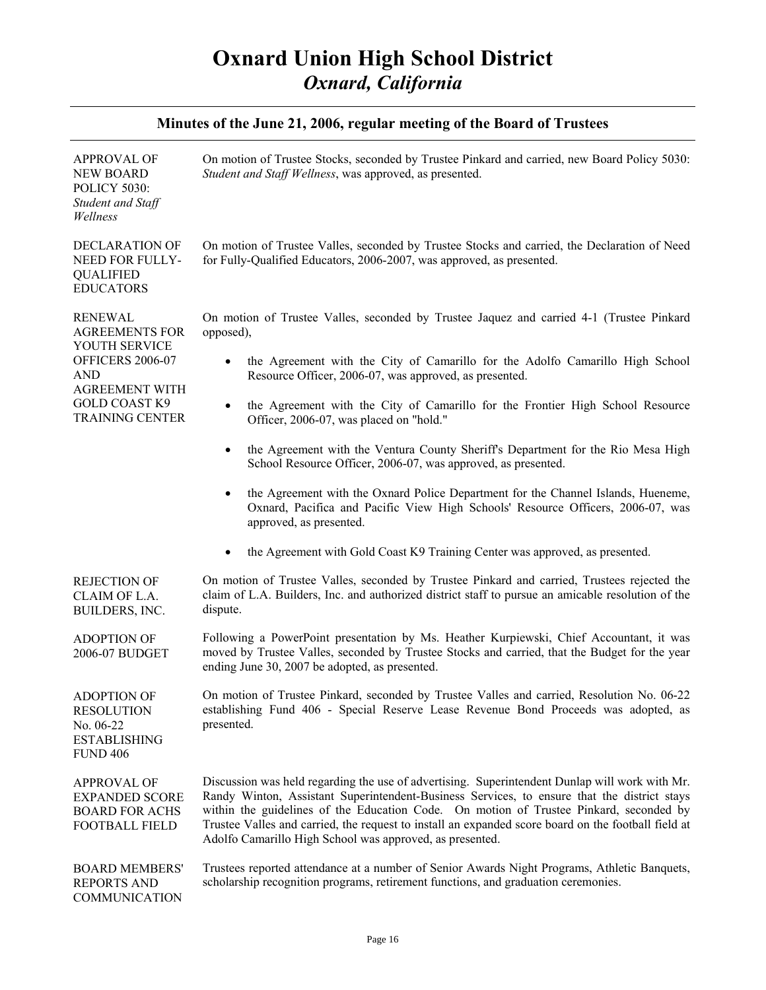**Minutes of the June 21, 2006, regular meeting of the Board of Trustees** 

#### APPROVAL OF NEW BOARD POLICY 5030: *Student and Staff Wellness*  DECLARATION OF NEED FOR FULLY-QUALIFIED EDUCATORS RENEWAL AGREEMENTS FOR YOUTH SERVICE OFFICERS 2006-07 AND AGREEMENT WITH GOLD COAST K9 TRAINING CENTER REJECTION OF CLAIM OF L.A. BUILDERS, INC. ADOPTION OF 2006-07 BUDGET ADOPTION OF RESOLUTION No. 06-22 ESTABLISHING FUND 406 APPROVAL OF EXPANDED SCORE BOARD FOR ACHS FOOTBALL FIELD BOARD MEMBERS' REPORTS AND COMMUNICATION On motion of Trustee Stocks, seconded by Trustee Pinkard and carried, new Board Policy 5030: *Student and Staff Wellness*, was approved, as presented. On motion of Trustee Valles, seconded by Trustee Stocks and carried, the Declaration of Need for Fully-Qualified Educators, 2006-2007, was approved, as presented. On motion of Trustee Valles, seconded by Trustee Jaquez and carried 4-1 (Trustee Pinkard opposed), • the Agreement with the City of Camarillo for the Adolfo Camarillo High School Resource Officer, 2006-07, was approved, as presented. • the Agreement with the City of Camarillo for the Frontier High School Resource Officer, 2006-07, was placed on "hold." • the Agreement with the Ventura County Sheriff's Department for the Rio Mesa High School Resource Officer, 2006-07, was approved, as presented. • the Agreement with the Oxnard Police Department for the Channel Islands, Hueneme, Oxnard, Pacifica and Pacific View High Schools' Resource Officers, 2006-07, was approved, as presented. • the Agreement with Gold Coast K9 Training Center was approved, as presented. On motion of Trustee Valles, seconded by Trustee Pinkard and carried, Trustees rejected the claim of L.A. Builders, Inc. and authorized district staff to pursue an amicable resolution of the dispute. Following a PowerPoint presentation by Ms. Heather Kurpiewski, Chief Accountant, it was moved by Trustee Valles, seconded by Trustee Stocks and carried, that the Budget for the year ending June 30, 2007 be adopted, as presented. On motion of Trustee Pinkard, seconded by Trustee Valles and carried, Resolution No. 06-22 establishing Fund 406 - Special Reserve Lease Revenue Bond Proceeds was adopted, as presented. Discussion was held regarding the use of advertising. Superintendent Dunlap will work with Mr. Randy Winton, Assistant Superintendent-Business Services, to ensure that the district stays within the guidelines of the Education Code. On motion of Trustee Pinkard, seconded by Trustee Valles and carried, the request to install an expanded score board on the football field at Adolfo Camarillo High School was approved, as presented. Trustees reported attendance at a number of Senior Awards Night Programs, Athletic Banquets, scholarship recognition programs, retirement functions, and graduation ceremonies.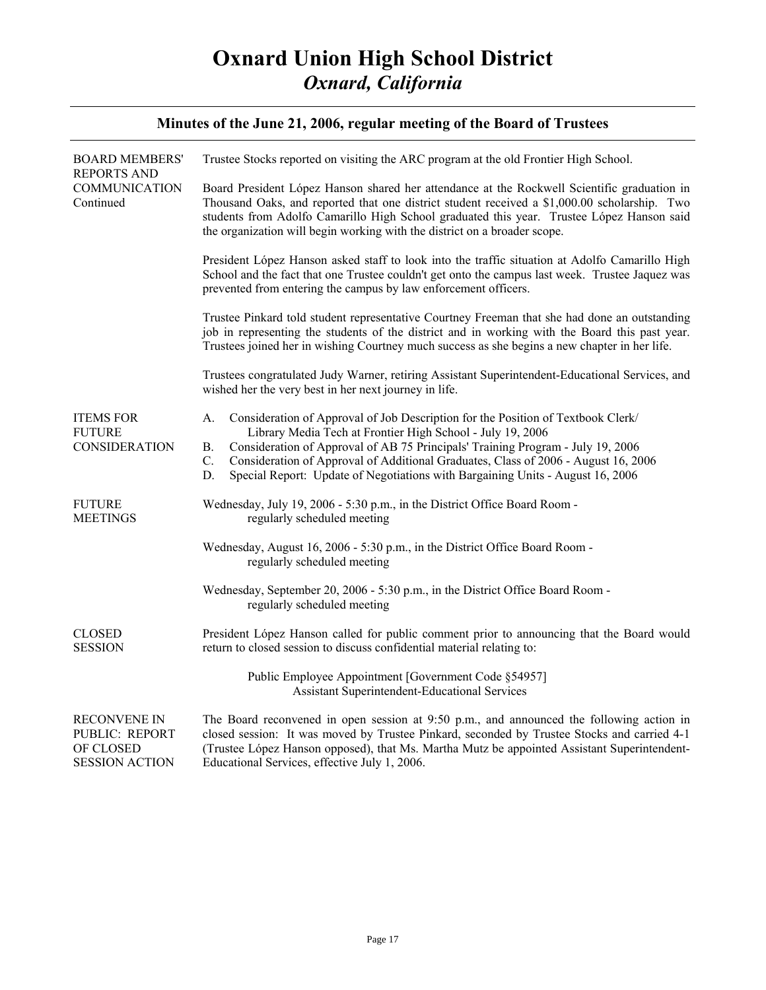| Ninutes of the June 21, 2006, regular meeting of the Board of Trustees |                                                                                                                                                                                                                                                                                                                                                                                                                                      |
|------------------------------------------------------------------------|--------------------------------------------------------------------------------------------------------------------------------------------------------------------------------------------------------------------------------------------------------------------------------------------------------------------------------------------------------------------------------------------------------------------------------------|
| <b>BOARD MEMBERS'</b><br><b>REPORTS AND</b>                            | Trustee Stocks reported on visiting the ARC program at the old Frontier High School.                                                                                                                                                                                                                                                                                                                                                 |
| <b>COMMUNICATION</b><br>Continued                                      | Board President López Hanson shared her attendance at the Rockwell Scientific graduation in<br>Thousand Oaks, and reported that one district student received a \$1,000.00 scholarship. Two<br>students from Adolfo Camarillo High School graduated this year. Trustee López Hanson said<br>the organization will begin working with the district on a broader scope.                                                                |
|                                                                        | President López Hanson asked staff to look into the traffic situation at Adolfo Camarillo High<br>School and the fact that one Trustee couldn't get onto the campus last week. Trustee Jaquez was<br>prevented from entering the campus by law enforcement officers.                                                                                                                                                                 |
|                                                                        | Trustee Pinkard told student representative Courtney Freeman that she had done an outstanding<br>job in representing the students of the district and in working with the Board this past year.<br>Trustees joined her in wishing Courtney much success as she begins a new chapter in her life.                                                                                                                                     |
|                                                                        | Trustees congratulated Judy Warner, retiring Assistant Superintendent-Educational Services, and<br>wished her the very best in her next journey in life.                                                                                                                                                                                                                                                                             |
| <b>ITEMS FOR</b><br><b>FUTURE</b><br><b>CONSIDERATION</b>              | Consideration of Approval of Job Description for the Position of Textbook Clerk/<br>A.<br>Library Media Tech at Frontier High School - July 19, 2006<br>Consideration of Approval of AB 75 Principals' Training Program - July 19, 2006<br>Β.<br>$C$ .<br>Consideration of Approval of Additional Graduates, Class of 2006 - August 16, 2006<br>Special Report: Update of Negotiations with Bargaining Units - August 16, 2006<br>D. |
| <b>FUTURE</b><br><b>MEETINGS</b>                                       | Wednesday, July 19, 2006 - 5:30 p.m., in the District Office Board Room -<br>regularly scheduled meeting                                                                                                                                                                                                                                                                                                                             |
|                                                                        | Wednesday, August 16, 2006 - 5:30 p.m., in the District Office Board Room -<br>regularly scheduled meeting                                                                                                                                                                                                                                                                                                                           |
|                                                                        | Wednesday, September 20, 2006 - 5:30 p.m., in the District Office Board Room -<br>regularly scheduled meeting                                                                                                                                                                                                                                                                                                                        |
| <b>CLOSED</b><br><b>SESSION</b>                                        | President López Hanson called for public comment prior to announcing that the Board would<br>return to closed session to discuss confidential material relating to:                                                                                                                                                                                                                                                                  |
|                                                                        | Public Employee Appointment [Government Code §54957]<br><b>Assistant Superintendent-Educational Services</b>                                                                                                                                                                                                                                                                                                                         |
| RECONVENE IN<br>PUBLIC: REPORT<br>OF CLOSED<br><b>SESSION ACTION</b>   | The Board reconvened in open session at 9:50 p.m., and announced the following action in<br>closed session: It was moved by Trustee Pinkard, seconded by Trustee Stocks and carried 4-1<br>(Trustee López Hanson opposed), that Ms. Martha Mutz be appointed Assistant Superintendent-<br>Educational Services, effective July 1, 2006.                                                                                              |